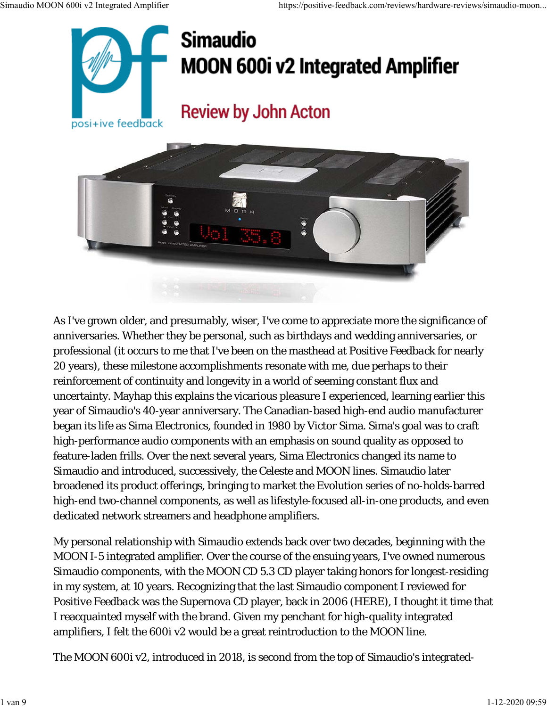

## **Simaudio MOON 600i v2 Integrated Amplifier**

## **Review by John Acton**



As I've grown older, and presumably, wiser, I've come to appreciate more the significance of anniversaries. Whether they be personal, such as birthdays and wedding anniversaries, or professional (it occurs to me that I've been on the masthead at *Positive Feedback* for nearly 20 years), these milestone accomplishments resonate with me, due perhaps to their reinforcement of continuity and longevity in a world of seeming constant flux and uncertainty. Mayhap this explains the vicarious pleasure I experienced, learning earlier this year of Simaudio's 40-year anniversary. The Canadian-based high-end audio manufacturer began its life as Sima Electronics, founded in 1980 by Victor Sima. Sima's goal was to craft high-performance audio components with an emphasis on sound quality as opposed to feature-laden frills. Over the next several years, Sima Electronics changed its name to Simaudio and introduced, successively, the Celeste and MOON lines. Simaudio later broadened its product offerings, bringing to market the Evolution series of no-holds-barred high-end two-channel components, as well as lifestyle-focused all-in-one products, and even dedicated network streamers and headphone amplifiers.

My personal relationship with Simaudio extends back over two decades, beginning with the MOON I-5 integrated amplifier. Over the course of the ensuing years, I've owned numerous Simaudio components, with the MOON CD 5.3 CD player taking honors for longest-residing in my system, at 10 years. Recognizing that the last Simaudio component I reviewed for *Positive Feedback* was the Supernova CD player, back in 2006 (HERE), I thought it time that I reacquainted myself with the brand. Given my penchant for high-quality integrated amplifiers, I felt the 600i v2 would be a great reintroduction to the MOON line.

The MOON 600i v2, introduced in 2018, is second from the top of Simaudio's integrated-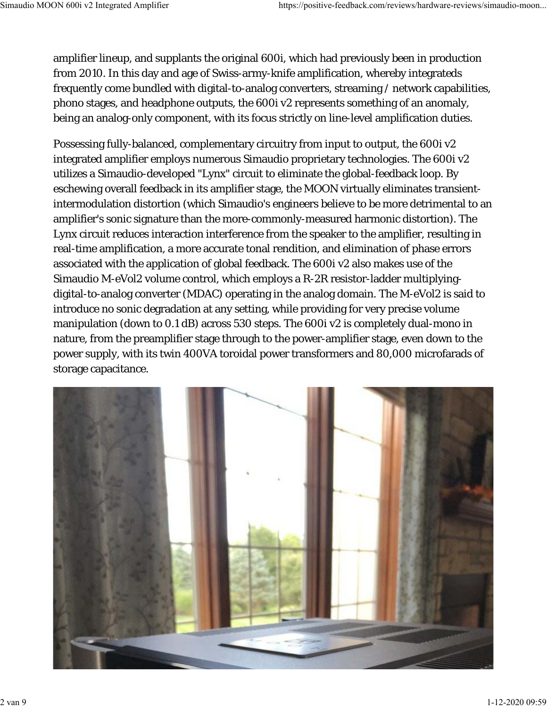amplifier lineup, and supplants the original 600i, which had previously been in production from 2010. In this day and age of Swiss-army-knife amplification, whereby integrateds frequently come bundled with digital-to-analog converters, streaming / network capabilities, phono stages, and headphone outputs, the 600i v2 represents something of an anomaly, being an analog-only component, with its focus strictly on line-level amplification duties.

Possessing fully-balanced, complementary circuitry from input to output, the 600i v2 integrated amplifier employs numerous Simaudio proprietary technologies. The 600i v2 utilizes a Simaudio-developed "Lynx" circuit to eliminate the global-feedback loop. By eschewing overall feedback in its amplifier stage, the MOON virtually eliminates transientintermodulation distortion (which Simaudio's engineers believe to be more detrimental to an amplifier's sonic signature than the more-commonly-measured harmonic distortion). The Lynx circuit reduces interaction interference from the speaker to the amplifier, resulting in real-time amplification, a more accurate tonal rendition, and elimination of phase errors associated with the application of global feedback. The 600i v2 also makes use of the Simaudio M-eVol2 volume control, which employs a R-2R resistor-ladder multiplyingdigital-to-analog converter (MDAC) operating in the analog domain. The M-eVol2 is said to introduce no sonic degradation at any setting, while providing for very precise volume manipulation (down to 0.1 dB) across 530 steps. The 600i v2 is completely dual-mono in nature, from the preamplifier stage through to the power-amplifier stage, even down to the power supply, with its twin 400VA toroidal power transformers and 80,000 microfarads of storage capacitance.

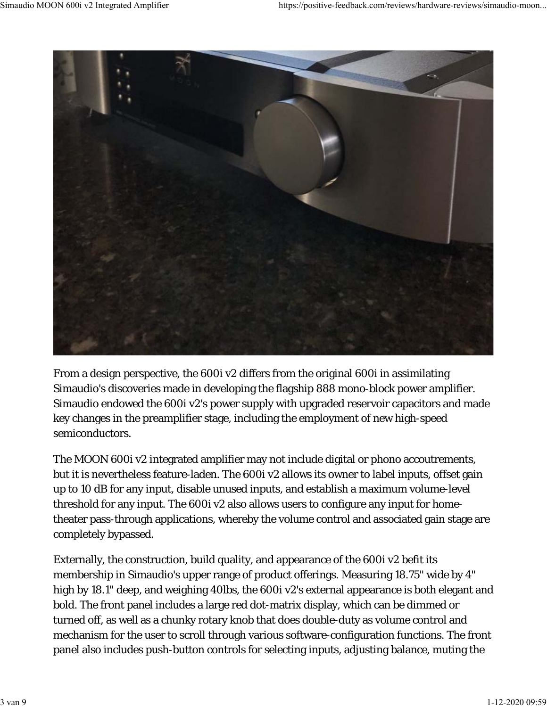

From a design perspective, the 600i v2 differs from the original 600i in assimilating Simaudio's discoveries made in developing the flagship 888 mono-block power amplifier. Simaudio endowed the 600i v2's power supply with upgraded reservoir capacitors and made key changes in the preamplifier stage, including the employment of new high-speed semiconductors.

The MOON 600i v2 integrated amplifier may not include digital or phono accoutrements, but it is nevertheless feature-laden. The 600i v2 allows its owner to label inputs, offset gain up to 10 dB for any input, disable unused inputs, and establish a maximum volume-level threshold for any input. The 600i v2 also allows users to configure any input for hometheater pass-through applications, whereby the volume control and associated gain stage are completely bypassed.

Externally, the construction, build quality, and appearance of the 600i v2 befit its membership in Simaudio's upper range of product offerings. Measuring 18.75" wide by 4" high by 18.1" deep, and weighing 40lbs, the 600i v2's external appearance is both elegant and bold. The front panel includes a large red dot-matrix display, which can be dimmed or turned off, as well as a chunky rotary knob that does double-duty as volume control and mechanism for the user to scroll through various software-configuration functions. The front panel also includes push-button controls for selecting inputs, adjusting balance, muting the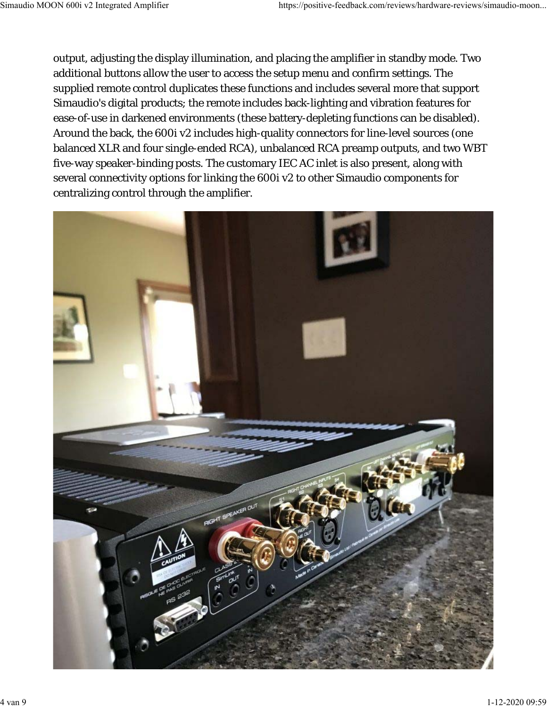output, adjusting the display illumination, and placing the amplifier in standby mode. Two additional buttons allow the user to access the setup menu and confirm settings. The supplied remote control duplicates these functions and includes several more that support Simaudio's digital products; the remote includes back-lighting and vibration features for ease-of-use in darkened environments (these battery-depleting functions can be disabled). Around the back, the 600i v2 includes high-quality connectors for line-level sources (one balanced XLR and four single-ended RCA), unbalanced RCA preamp outputs, and two WBT five-way speaker-binding posts. The customary IEC AC inlet is also present, along with several connectivity options for linking the 600i v2 to other Simaudio components for centralizing control through the amplifier.

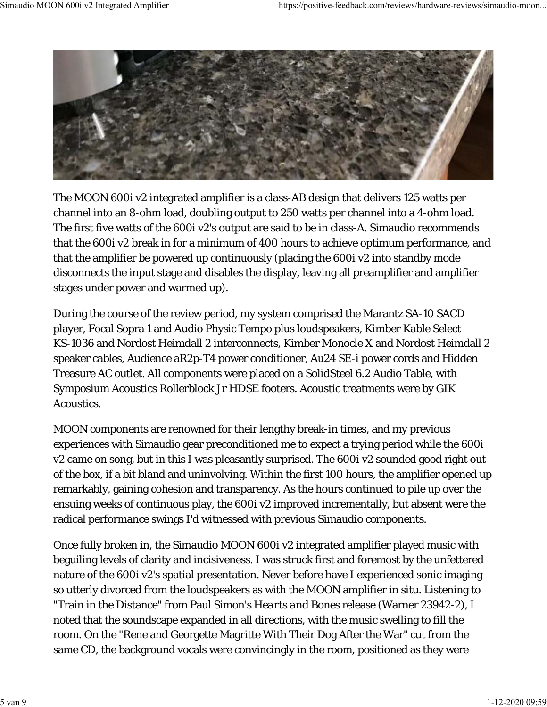

The MOON 600i v2 integrated amplifier is a class-AB design that delivers 125 watts per channel into an 8-ohm load, doubling output to 250 watts per channel into a 4-ohm load. The first five watts of the 600i v2's output are said to be in class-A. Simaudio recommends that the 600i v2 break in for a minimum of 400 hours to achieve optimum performance, and that the amplifier be powered up continuously (placing the 600i v2 into standby mode disconnects the input stage and disables the display, leaving all preamplifier and amplifier stages under power and warmed up).

During the course of the review period, my system comprised the Marantz SA-10 SACD player, Focal Sopra 1 and Audio Physic Tempo plus loudspeakers, Kimber Kable Select KS-1036 and Nordost Heimdall 2 interconnects, Kimber Monocle X and Nordost Heimdall 2 speaker cables, Audience aR2p-T4 power conditioner, Au24 SE-i power cords and Hidden Treasure AC outlet. All components were placed on a SolidSteel 6.2 Audio Table, with Symposium Acoustics Rollerblock Jr HDSE footers. Acoustic treatments were by GIK Acoustics.

MOON components are renowned for their lengthy break-in times, and my previous experiences with Simaudio gear preconditioned me to expect a trying period while the 600i v2 came on song, but in this I was pleasantly surprised. The 600i v2 sounded good right out of the box, if a bit bland and uninvolving. Within the first 100 hours, the amplifier opened up remarkably, gaining cohesion and transparency. As the hours continued to pile up over the ensuing weeks of continuous play, the 600i v2 improved incrementally, but absent were the radical performance swings I'd witnessed with previous Simaudio components.

Once fully broken in, the Simaudio MOON 600i v2 integrated amplifier played music with beguiling levels of clarity and incisiveness. I was struck first and foremost by the unfettered nature of the 600i v2's spatial presentation. Never before have I experienced sonic imaging so utterly divorced from the loudspeakers as with the MOON amplifier in situ. Listening to "Train in the Distance" from Paul Simon's *Hearts and Bones* release (Warner 23942-2), I noted that the soundscape expanded in all directions, with the music swelling to fill the room. On the "Rene and Georgette Magritte With Their Dog After the War" cut from the same CD, the background vocals were convincingly in the room, positioned as they were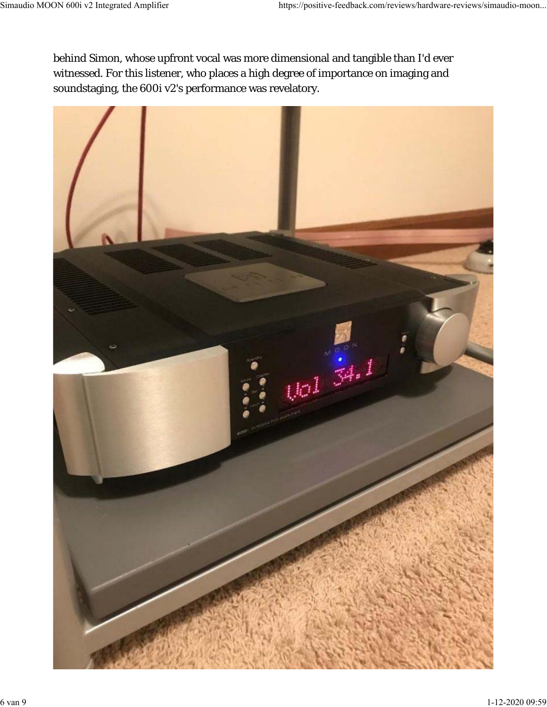behind Simon, whose upfront vocal was more dimensional and tangible than I'd ever witnessed. For this listener, who places a high degree of importance on imaging and soundstaging, the 600i v2's performance was revelatory.

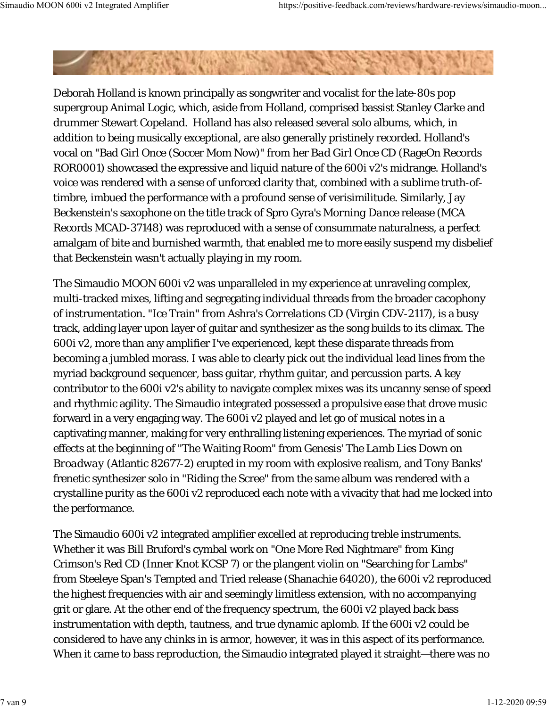Deborah Holland is known principally as songwriter and vocalist for the late-80s pop supergroup Animal Logic, which, aside from Holland, comprised bassist Stanley Clarke and drummer Stewart Copeland. Holland has also released several solo albums, which, in addition to being musically exceptional, are also generally pristinely recorded. Holland's vocal on "Bad Girl Once (Soccer Mom Now)" from her *Bad Girl Once* CD (RageOn Records ROR0001) showcased the expressive and liquid nature of the 600i v2's midrange. Holland's voice was rendered with a sense of unforced clarity that, combined with a sublime truth-oftimbre, imbued the performance with a profound sense of verisimilitude. Similarly, Jay Beckenstein's saxophone on the title track of Spro Gyra's *Morning Dance* release (MCA Records MCAD-37148) was reproduced with a sense of consummate naturalness, a perfect amalgam of bite and burnished warmth, that enabled me to more easily suspend my disbelief that Beckenstein wasn't actually playing in my room.

The Simaudio MOON 600i v2 was unparalleled in my experience at unraveling complex, multi-tracked mixes, lifting and segregating individual threads from the broader cacophony of instrumentation. "Ice Train" from Ashra's *Correlations* CD (Virgin CDV-2117), is a busy track, adding layer upon layer of guitar and synthesizer as the song builds to its climax. The 600i v2, more than any amplifier I've experienced, kept these disparate threads from becoming a jumbled morass. I was able to clearly pick out the individual lead lines from the myriad background sequencer, bass guitar, rhythm guitar, and percussion parts. A key contributor to the 600i v2's ability to navigate complex mixes was its uncanny sense of speed and rhythmic agility. The Simaudio integrated possessed a propulsive ease that drove music forward in a very engaging way. The 600i v2 played and let go of musical notes in a captivating manner, making for very enthralling listening experiences. The myriad of sonic effects at the beginning of "The Waiting Room" from Genesis' *The Lamb Lies Down on Broadway* (Atlantic 82677-2) erupted in my room with explosive realism, and Tony Banks' frenetic synthesizer solo in "Riding the Scree" from the same album was rendered with a crystalline purity as the 600i v2 reproduced each note with a vivacity that had me locked into the performance.

The Simaudio 600i v2 integrated amplifier excelled at reproducing treble instruments. Whether it was Bill Bruford's cymbal work on "One More Red Nightmare" from King Crimson's *Red* CD (Inner Knot KCSP 7) or the plangent violin on "Searching for Lambs" from Steeleye Span's *Tempted and Tried* release (Shanachie 64020), the 600i v2 reproduced the highest frequencies with air and seemingly limitless extension, with no accompanying grit or glare. At the other end of the frequency spectrum, the 600i v2 played back bass instrumentation with depth, tautness, and true dynamic aplomb. If the 600i v2 could be considered to have any chinks in is armor, however, it was in this aspect of its performance. When it came to bass reproduction, the Simaudio integrated played it straight—there was no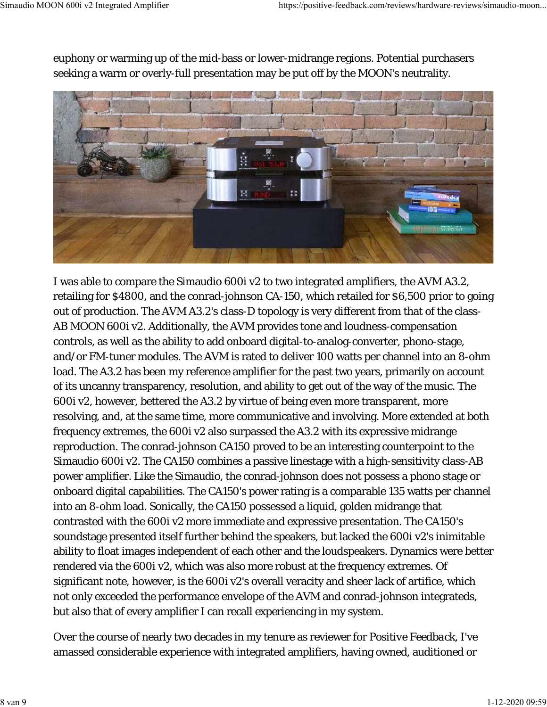euphony or warming up of the mid-bass or lower-midrange regions. Potential purchasers seeking a warm or overly-full presentation may be put off by the MOON's neutrality.



I was able to compare the Simaudio 600i v2 to two integrated amplifiers, the AVM A3.2, retailing for \$4800, and the conrad-johnson CA-150, which retailed for \$6,500 prior to going out of production. The AVM A3.2's class-D topology is very different from that of the class-AB MOON 600i v2. Additionally, the AVM provides tone and loudness-compensation controls, as well as the ability to add onboard digital-to-analog-converter, phono-stage, and/or FM-tuner modules. The AVM is rated to deliver 100 watts per channel into an 8-ohm load. The A3.2 has been my reference amplifier for the past two years, primarily on account of its uncanny transparency, resolution, and ability to get out of the way of the music. The 600i v2, however, bettered the A3.2 by virtue of being even more transparent, more resolving, and, at the same time, more communicative and involving. More extended at both frequency extremes, the 600i v2 also surpassed the A3.2 with its expressive midrange reproduction. The conrad-johnson CA150 proved to be an interesting counterpoint to the Simaudio 600i v2. The CA150 combines a passive linestage with a high-sensitivity class-AB power amplifier. Like the Simaudio, the conrad-johnson does not possess a phono stage or onboard digital capabilities. The CA150's power rating is a comparable 135 watts per channel into an 8-ohm load. Sonically, the CA150 possessed a liquid, golden midrange that contrasted with the 600i v2 more immediate and expressive presentation. The CA150's soundstage presented itself further behind the speakers, but lacked the 600i v2's inimitable ability to float images independent of each other and the loudspeakers. Dynamics were better rendered via the 600i v2, which was also more robust at the frequency extremes. Of significant note, however, is the 600i v2's overall veracity and sheer lack of artifice, which not only exceeded the performance envelope of the AVM and conrad-johnson integrateds, but also that of every amplifier I can recall experiencing in my system.

Over the course of nearly two decades in my tenure as reviewer for *Positive Feedback*, I've amassed considerable experience with integrated amplifiers, having owned, auditioned or